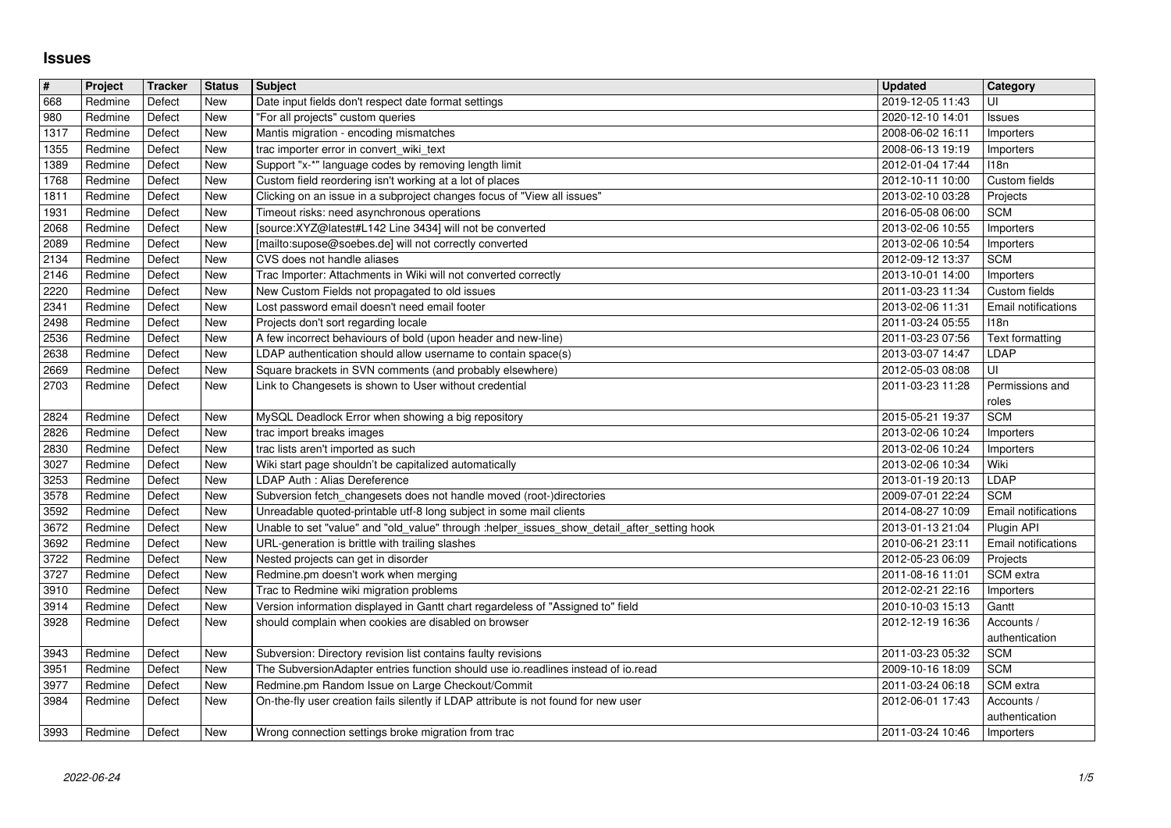## **Issues**

| $\sqrt{\frac{4}{15}}$ | Project            | <b>Tracker</b>   | <b>Status</b> | <b>Subject</b>                                                                                                                              | <b>Updated</b>                       | Category                          |
|-----------------------|--------------------|------------------|---------------|---------------------------------------------------------------------------------------------------------------------------------------------|--------------------------------------|-----------------------------------|
| 668<br>980            | Redmine<br>Redmine | Defect<br>Defect | New<br>New    | Date input fields don't respect date format settings<br>"For all projects" custom queries                                                   | 2019-12-05 11:43<br>2020-12-10 14:01 | UI<br><b>Issues</b>               |
| 1317                  | Redmine            | Defect           | New           | Mantis migration - encoding mismatches                                                                                                      | 2008-06-02 16:11                     | Importers                         |
| 1355<br>1389          | Redmine<br>Redmine | Defect<br>Defect | New<br>New    | trac importer error in convert_wiki_text<br>Support "x-*" language codes by removing length limit                                           | 2008-06-13 19:19<br>2012-01-04 17:44 | Importers<br><b>I18n</b>          |
| 1768                  | Redmine            | Defect           | New           | Custom field reordering isn't working at a lot of places                                                                                    | 2012-10-11 10:00                     | Custom fields                     |
| 1811                  | Redmine            | Defect           | New           | Clicking on an issue in a subproject changes focus of "View all issues"                                                                     | 2013-02-10 03:28                     | Projects                          |
| 1931<br>2068          | Redmine<br>Redmine | Defect<br>Defect | New<br>New    | Timeout risks: need asynchronous operations<br>[source:XYZ@latest#L142 Line 3434] will not be converted                                     | 2016-05-08 06:00<br>2013-02-06 10:55 | <b>SCM</b><br>Importers           |
| 2089                  | Redmine            | Defect           | New           | [mailto:supose@soebes.de] will not correctly converted                                                                                      | 2013-02-06 10:54                     | Importers                         |
| $\sqrt{2134}$<br>2146 | Redmine<br>Redmine | Defect<br>Defect | New<br>New    | CVS does not handle aliases<br>Trac Importer: Attachments in Wiki will not converted correctly                                              | 2012-09-12 13:37<br>2013-10-01 14:00 | <b>SCM</b>                        |
| 2220                  | Redmine            | Defect           | New           | New Custom Fields not propagated to old issues                                                                                              | 2011-03-23 11:34                     | Importers<br>Custom fields        |
| 2341                  | Redmine            | Defect           | New           | Lost password email doesn't need email footer                                                                                               | 2013-02-06 11:31                     | Email notifications               |
| 2498<br>2536          | Redmine<br>Redmine | Defect<br>Defect | New<br>New    | Projects don't sort regarding locale<br>A few incorrect behaviours of bold (upon header and new-line)                                       | 2011-03-24 05:55<br>2011-03-23 07:56 | 118n<br>Text formatting           |
| 2638                  | Redmine            | Defect           | New           | LDAP authentication should allow username to contain space(s)                                                                               | 2013-03-07 14:47                     | LDAP                              |
| 2669                  | Redmine            | Defect           | New           | Square brackets in SVN comments (and probably elsewhere)                                                                                    | 2012-05-03 08:08                     | UI                                |
| 2703                  | Redmine            | Defect           | New           | Link to Changesets is shown to User without credential                                                                                      | 2011-03-23 11:28                     | Permissions and<br>roles          |
| 2824                  | Redmine            | Defect           | New           | MySQL Deadlock Error when showing a big repository                                                                                          | 2015-05-21 19:37                     | <b>SCM</b>                        |
| 2826<br>2830          | Redmine<br>Redmine | Defect<br>Defect | New<br>New    | trac import breaks images<br>trac lists aren't imported as such                                                                             | 2013-02-06 10:24<br>2013-02-06 10:24 | Importers<br>Importers            |
| 3027                  | Redmine            | Defect           | New           | Wiki start page shouldn't be capitalized automatically                                                                                      | 2013-02-06 10:34                     | Wiki                              |
| 3253                  | Redmine            | Defect           | New           | LDAP Auth : Alias Dereference                                                                                                               | 2013-01-19 20:13                     | LDAP                              |
| 3578                  | Redmine<br>Redmine | Defect<br>Defect | New<br>New    | Subversion fetch_changesets does not handle moved (root-)directories<br>Unreadable quoted-printable utf-8 long subject in some mail clients | 2009-07-01 22:24<br>2014-08-27 10:09 | <b>SCM</b><br>Email notifications |
| 3592<br>3672          | Redmine            | Defect           | New           | Unable to set "value" and "old_value" through :helper_issues_show_detail_after_setting hook                                                 | 2013-01-13 21:04                     | Plugin API                        |
| 3692                  | Redmine            | Defect           | New           | URL-generation is brittle with trailing slashes                                                                                             | 2010-06-21 23:11                     | Email notifications               |
| 3722<br>3727          | Redmine<br>Redmine | Defect<br>Defect | New<br>New    | Nested projects can get in disorder<br>Redmine.pm doesn't work when merging                                                                 | 2012-05-23 06:09<br>2011-08-16 11:01 | Projects<br>SCM extra             |
| 3910                  | Redmine            | Defect           | New           | Trac to Redmine wiki migration problems                                                                                                     | 2012-02-21 22:16                     | Importers                         |
| 3914                  | Redmine            | Defect           | New           | Version information displayed in Gantt chart regardeless of "Assigned to" field                                                             | 2010-10-03 15:13                     | Gantt                             |
| 3928                  | Redmine            | Defect           | New           | should complain when cookies are disabled on browser                                                                                        | 2012-12-19 16:36                     | Accounts /<br>authentication      |
| 3943                  | Redmine            | Defect           | New           | Subversion: Directory revision list contains faulty revisions                                                                               | 2011-03-23 05:32                     | <b>SCM</b>                        |
| 3951                  | Redmine            | Defect           | New           | The SubversionAdapter entries function should use io.readlines instead of io.read                                                           | 2009-10-16 18:09                     | <b>SCM</b>                        |
| 3977<br>3984          | Redmine<br>Redmine | Defect<br>Defect | New<br>New    | Redmine.pm Random Issue on Large Checkout/Commit<br>On-the-fly user creation fails silently if LDAP attribute is not found for new user     | 2011-03-24 06:18<br>2012-06-01 17:43 | SCM extra<br>Accounts /           |
|                       |                    |                  |               |                                                                                                                                             |                                      | authentication                    |
| 3993                  | Redmine            | Defect           | New           | Wrong connection settings broke migration from trac                                                                                         | 2011-03-24 10:46                     | Importers                         |
|                       |                    |                  |               |                                                                                                                                             |                                      |                                   |
|                       |                    |                  |               |                                                                                                                                             |                                      |                                   |
|                       |                    |                  |               |                                                                                                                                             |                                      |                                   |
|                       |                    |                  |               |                                                                                                                                             |                                      |                                   |
|                       |                    |                  |               |                                                                                                                                             |                                      |                                   |
|                       |                    |                  |               |                                                                                                                                             |                                      |                                   |
|                       |                    |                  |               |                                                                                                                                             |                                      |                                   |
|                       |                    |                  |               |                                                                                                                                             |                                      |                                   |
|                       |                    |                  |               |                                                                                                                                             |                                      |                                   |
|                       |                    |                  |               |                                                                                                                                             |                                      |                                   |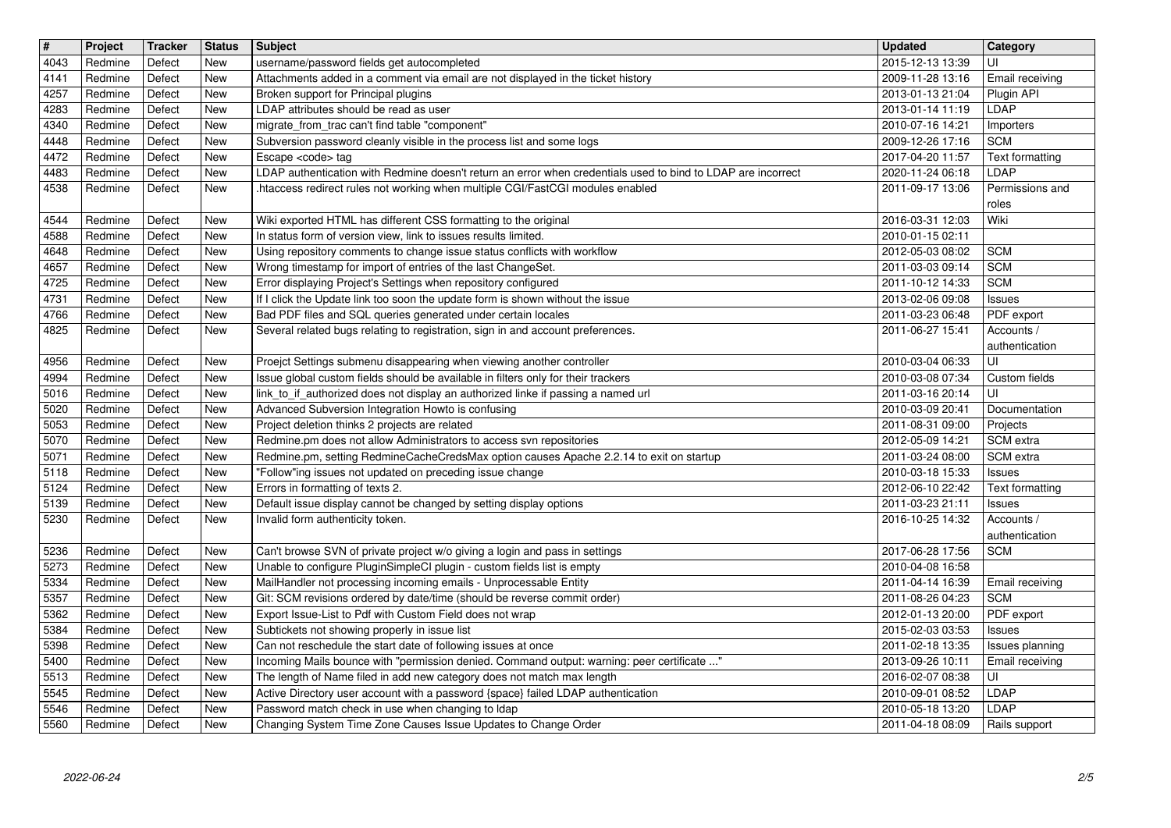| $\overline{\mathbf{H}}$<br>4043 | Project<br>Redmine | Tracker<br>Defect | <b>Status</b><br><b>New</b> | <b>Subject</b><br>username/password fields get autocompleted                                                                                                           | <b>Updated</b><br>2015-12-13 13:39   | Category<br>UI                   |
|---------------------------------|--------------------|-------------------|-----------------------------|------------------------------------------------------------------------------------------------------------------------------------------------------------------------|--------------------------------------|----------------------------------|
| 4141                            | Redmine            | Defect            | New                         | Attachments added in a comment via email are not displayed in the ticket history                                                                                       | 2009-11-28 13:16                     | Email receiving                  |
| 4257<br>4283                    | Redmine<br>Redmine | Defect<br>Defect  | New<br>New                  | Broken support for Principal plugins<br>LDAP attributes should be read as user                                                                                         | 2013-01-13 21:04<br>2013-01-14 11:19 | Plugin API<br>LDAP               |
| 4340                            | Redmine            | Defect            | New                         | migrate_from_trac can't find table "component"                                                                                                                         | 2010-07-16 14:21                     | Importers                        |
| 4448<br>4472                    | Redmine<br>Redmine | Defect<br>Defect  | <b>New</b><br>New           | Subversion password cleanly visible in the process list and some logs<br>Escape <code> tag</code>                                                                      | 2009-12-26 17:16<br>2017-04-20 11:57 | <b>SCM</b><br>Text formatting    |
| 4483                            | Redmine            | Defect            | New                         | LDAP authentication with Redmine doesn't return an error when credentials used to bind to LDAP are incorrect                                                           | 2020-11-24 06:18                     | LDAP                             |
| 4538                            | Redmine            | Defect            | New                         | .htaccess redirect rules not working when multiple CGI/FastCGI modules enabled                                                                                         | 2011-09-17 13:06                     | Permissions and<br>roles         |
| 4544                            | Redmine            | Defect            | <b>New</b>                  | Wiki exported HTML has different CSS formatting to the original                                                                                                        | 2016-03-31 12:03                     | Wiki                             |
| 4588<br>4648                    | Redmine<br>Redmine | Defect<br>Defect  | <b>New</b><br>New           | In status form of version view, link to issues results limited.<br>Using repository comments to change issue status conflicts with workflow                            | 2010-01-15 02:11<br>2012-05-03 08:02 | <b>SCM</b>                       |
| 4657                            | Redmine            | Defect            | New                         | Wrong timestamp for import of entries of the last ChangeSet.                                                                                                           | 2011-03-03 09:14                     | <b>SCM</b>                       |
| 4725<br>4731                    | Redmine<br>Redmine | Defect<br>Defect  | <b>New</b><br>New           | Error displaying Project's Settings when repository configured<br>If I click the Update link too soon the update form is shown without the issue                       | 2011-10-12 14:33<br>2013-02-06 09:08 | <b>SCM</b><br>Issues             |
| 4766                            | Redmine            | Defect            | New                         | Bad PDF files and SQL queries generated under certain locales                                                                                                          | 2011-03-23 06:48                     | PDF export                       |
| 4825                            | Redmine            | Defect            | New                         | Several related bugs relating to registration, sign in and account preferences.                                                                                        | 2011-06-27 15:41                     | Accounts /<br>authentication     |
| 4956                            | Redmine            | Defect            | New                         | Proejct Settings submenu disappearing when viewing another controller                                                                                                  | 2010-03-04 06:33                     | UI                               |
| 4994<br>5016                    | Redmine<br>Redmine | Defect<br>Defect  | New<br><b>New</b>           | Issue global custom fields should be available in filters only for their trackers<br>link_to_if_authorized does not display an authorized linke if passing a named url | 2010-03-08 07:34<br>2011-03-16 20:14 | Custom fields<br>UI              |
| 5020                            | Redmine            | Defect            | <b>New</b>                  | Advanced Subversion Integration Howto is confusing                                                                                                                     | 2010-03-09 20:41                     | Documentation                    |
| 5053<br>5070                    | Redmine<br>Redmine | Defect<br>Defect  | <b>New</b><br><b>New</b>    | Project deletion thinks 2 projects are related<br>Redmine.pm does not allow Administrators to access svn repositories                                                  | 2011-08-31 09:00<br>2012-05-09 14:21 | Projects<br>SCM extra            |
| 5071                            | Redmine            | Defect            | <b>New</b>                  | Redmine.pm, setting RedmineCacheCredsMax option causes Apache 2.2.14 to exit on startup                                                                                | 2011-03-24 08:00                     | SCM extra                        |
| 5118                            | Redmine            | Defect            | New                         | "Follow"ing issues not updated on preceding issue change                                                                                                               | 2010-03-18 15:33                     | <b>Issues</b>                    |
| 5124<br>5139                    | Redmine<br>Redmine | Defect<br>Defect  | New<br>New                  | Errors in formatting of texts 2.<br>Default issue display cannot be changed by setting display options                                                                 | 2012-06-10 22:42<br>2011-03-23 21:11 | Text formatting<br><b>Issues</b> |
| 5230                            | Redmine            | Defect            | New                         | Invalid form authenticity token.                                                                                                                                       | 2016-10-25 14:32                     | Accounts /                       |
| 5236                            | Redmine            | Defect            | <b>New</b>                  | Can't browse SVN of private project w/o giving a login and pass in settings                                                                                            | 2017-06-28 17:56                     | authentication<br><b>SCM</b>     |
| 5273                            | Redmine            | Defect            | <b>New</b>                  | Unable to configure PluginSimpleCI plugin - custom fields list is empty                                                                                                | 2010-04-08 16:58                     |                                  |
| 5334<br>5357                    | Redmine<br>Redmine | Defect<br>Defect  | <b>New</b><br>New           | MailHandler not processing incoming emails - Unprocessable Entity<br>Git: SCM revisions ordered by date/time (should be reverse commit order)                          | 2011-04-14 16:39<br>2011-08-26 04:23 | Email receiving<br><b>SCM</b>    |
| 5362                            | Redmine            | Defect            | New                         | Export Issue-List to Pdf with Custom Field does not wrap                                                                                                               | 2012-01-13 20:00                     | PDF export                       |
| 5384<br>5398                    | Redmine<br>Redmine | Defect<br>Defect  | New<br>New                  | Subtickets not showing properly in issue list<br>Can not reschedule the start date of following issues at once                                                         | 2015-02-03 03:53<br>2011-02-18 13:35 | <b>Issues</b><br>Issues planning |
| 5400                            | Redmine            | Defect            | New                         | Incoming Mails bounce with "permission denied. Command output: warning: peer certificate "                                                                             | 2013-09-26 10:11                     | Email receiving                  |
| 5513<br>5545                    | Redmine<br>Redmine | Defect<br>Defect  | New<br>New                  | The length of Name filed in add new category does not match max length<br>Active Directory user account with a password {space} failed LDAP authentication             | 2016-02-07 08:38<br>2010-09-01 08:52 | UI<br>LDAP                       |
| 5546                            | Redmine            | Defect            | New                         | Password match check in use when changing to Idap<br>Changing System Time Zone Causes Issue Updates to Change Order                                                    | 2010-05-18 13:20                     | LDAP                             |
|                                 | 2022-06-24         |                   |                             |                                                                                                                                                                        |                                      |                                  |
|                                 |                    |                   |                             |                                                                                                                                                                        |                                      |                                  |
|                                 |                    |                   |                             |                                                                                                                                                                        |                                      |                                  |
|                                 |                    |                   |                             |                                                                                                                                                                        |                                      |                                  |
|                                 |                    |                   |                             |                                                                                                                                                                        |                                      |                                  |
|                                 |                    |                   |                             |                                                                                                                                                                        |                                      |                                  |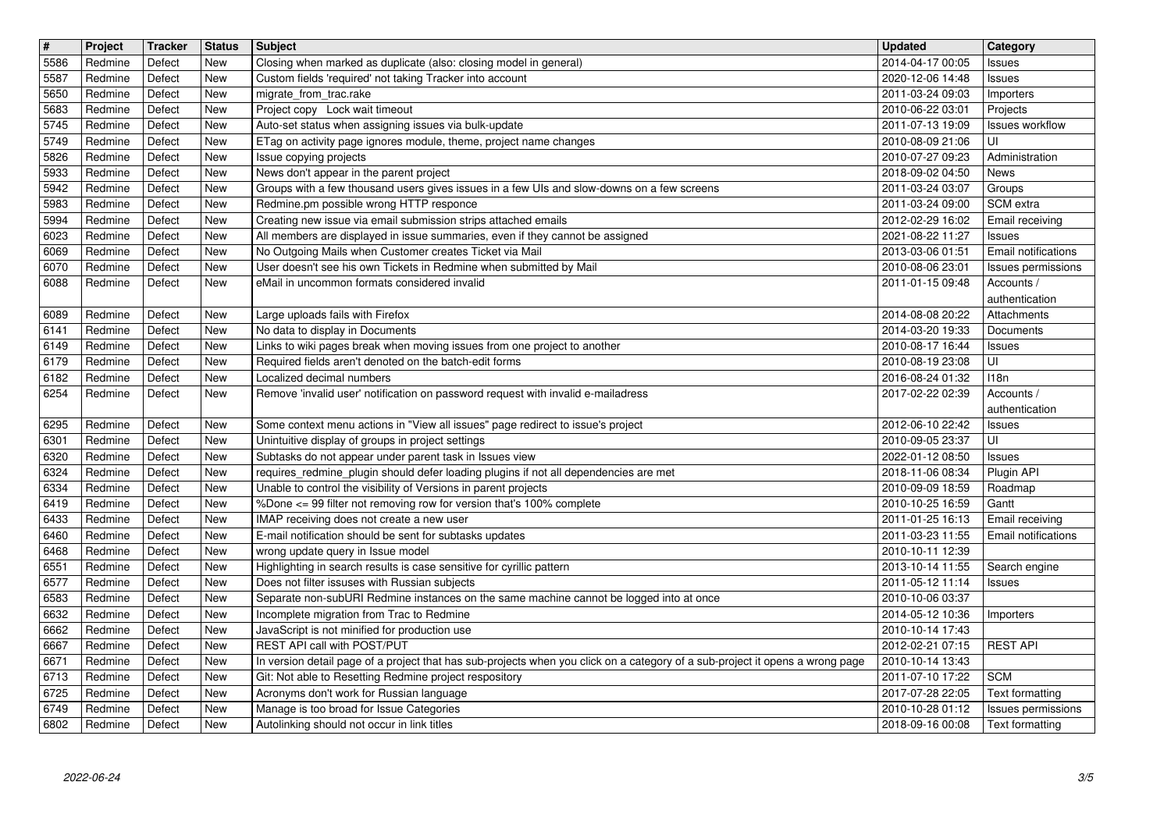| $\overline{\mathbf{H}}$ | Project            | Tracker          | <b>Status</b>            | Subject<br>Closing when marked as duplicate (also: closing model in general)                                                             | <b>Updated</b>                       | Category                             |
|-------------------------|--------------------|------------------|--------------------------|------------------------------------------------------------------------------------------------------------------------------------------|--------------------------------------|--------------------------------------|
| 5586<br>5587            | Redmine<br>Redmine | Defect<br>Defect | <b>New</b><br>New        | Custom fields 'required' not taking Tracker into account                                                                                 | 2014-04-17 00:05<br>2020-12-06 14:48 | Issues<br>Issues                     |
| 5650<br>5683            | Redmine<br>Redmine | Defect<br>Defect | New<br>New               | migrate_from_trac.rake<br>Project copy Lock wait timeout                                                                                 | 2011-03-24 09:03<br>2010-06-22 03:01 | Importers<br>Projects                |
| 5745                    | Redmine            | Defect           | New                      | Auto-set status when assigning issues via bulk-update                                                                                    | 2011-07-13 19:09                     | <b>Issues workflow</b>               |
| 5749<br>5826            | Redmine<br>Redmine | Defect<br>Defect | <b>New</b><br>New        | ETag on activity page ignores module, theme, project name changes<br>Issue copying projects                                              | 2010-08-09 21:06<br>2010-07-27 09:23 | UI<br>Administration                 |
| 5933                    | Redmine            | Defect           | <b>New</b>               | News don't appear in the parent project                                                                                                  | 2018-09-02 04:50                     | News                                 |
| 5942<br>5983            | Redmine<br>Redmine | Defect<br>Defect | <b>New</b><br>New        | Groups with a few thousand users gives issues in a few UIs and slow-downs on a few screens<br>Redmine.pm possible wrong HTTP responce    | 2011-03-24 03:07<br>2011-03-24 09:00 | Groups<br>SCM extra                  |
| 5994                    | Redmine            | Defect           | New                      | Creating new issue via email submission strips attached emails                                                                           | 2012-02-29 16:02                     | Email receiving                      |
| 6023<br>6069            | Redmine<br>Redmine | Defect<br>Defect | New<br><b>New</b>        | All members are displayed in issue summaries, even if they cannot be assigned<br>No Outgoing Mails when Customer creates Ticket via Mail | 2021-08-22 11:27<br>2013-03-06 01:51 | <b>Issues</b><br>Email notifications |
| 6070                    | Redmine            | Defect           | New                      | User doesn't see his own Tickets in Redmine when submitted by Mail                                                                       | 2010-08-06 23:01                     | Issues permissions                   |
| 6088                    | Redmine            | Defect           | <b>New</b>               | eMail in uncommon formats considered invalid                                                                                             | 2011-01-15 09:48                     | Accounts /<br>authentication         |
| 6089                    | Redmine            | Defect           | <b>New</b>               | Large uploads fails with Firefox                                                                                                         | 2014-08-08 20:22                     | Attachments                          |
| 6141<br>6149            | Redmine<br>Redmine | Defect<br>Defect | New<br>New               | No data to display in Documents<br>Links to wiki pages break when moving issues from one project to another                              | 2014-03-20 19:33<br>2010-08-17 16:44 | Documents                            |
| 6179                    | Redmine            | Defect           | <b>New</b>               | Required fields aren't denoted on the batch-edit forms                                                                                   | 2010-08-19 23:08                     | <b>Issues</b><br>UI                  |
| 6182<br>6254            | Redmine<br>Redmine | Defect<br>Defect | New<br><b>New</b>        | Localized decimal numbers<br>Remove 'invalid user' notification on password request with invalid e-mailadress                            | 2016-08-24 01:32<br>2017-02-22 02:39 | 118n<br>Accounts /                   |
|                         |                    |                  |                          |                                                                                                                                          |                                      | authentication                       |
| 6295<br>6301            | Redmine<br>Redmine | Defect<br>Defect | <b>New</b><br><b>New</b> | Some context menu actions in "View all issues" page redirect to issue's project                                                          | 2012-06-10 22:42<br>2010-09-05 23:37 | <b>Issues</b><br>UI                  |
| 6320                    | Redmine            | Defect           | <b>New</b>               | Unintuitive display of groups in project settings<br>Subtasks do not appear under parent task in Issues view                             | 2022-01-12 08:50                     | <b>Issues</b>                        |
| 6324                    | Redmine            | Defect           | New                      | requires_redmine_plugin should defer loading plugins if not all dependencies are met                                                     | 2018-11-06 08:34                     | Plugin API                           |
| 6334<br>6419            | Redmine<br>Redmine | Defect<br>Defect | New<br>New               | Unable to control the visibility of Versions in parent projects<br>%Done <= 99 filter not removing row for version that's 100% complete  | 2010-09-09 18:59<br>2010-10-25 16:59 | Roadmap<br>Gantt                     |
| 6433                    | Redmine            | Defect           | New                      | IMAP receiving does not create a new user                                                                                                | 2011-01-25 16:13                     | Email receiving                      |
| 6460<br>6468            | Redmine<br>Redmine | Defect<br>Defect | <b>New</b><br>New        | E-mail notification should be sent for subtasks updates<br>wrong update query in Issue model                                             | 2011-03-23 11:55<br>2010-10-11 12:39 | <b>Email notifications</b>           |
| 6551                    | Redmine            | Defect           | <b>New</b>               | Highlighting in search results is case sensitive for cyrillic pattern                                                                    | 2013-10-14 11:55                     | Search engine                        |
| 6577<br>6583            | Redmine<br>Redmine | Defect<br>Defect | <b>New</b><br>New        | Does not filter issuses with Russian subjects<br>Separate non-subURI Redmine instances on the same machine cannot be logged into at once | 2011-05-12 11:14<br>2010-10-06 03:37 | <b>Issues</b>                        |
| 6632                    | Redmine            | Defect           | New                      | Incomplete migration from Trac to Redmine                                                                                                | 2014-05-12 10:36                     | Importers                            |
| 6662<br>6667            | Redmine<br>Redmine | Defect<br>Defect | New<br>New               | JavaScript is not minified for production use<br>REST API call with POST/PUT                                                             | 2010-10-14 17:43<br>2012-02-21 07:15 | <b>REST API</b>                      |
| 6671                    | Redmine            | Defect           | New                      | In version detail page of a project that has sub-projects when you click on a category of a sub-project it opens a wrong page            | 2010-10-14 13:43                     |                                      |
| 6713<br>6725            | Redmine<br>Redmine | Defect<br>Defect | New<br>New               | Git: Not able to Resetting Redmine project respository<br>Acronyms don't work for Russian language                                       | 2011-07-10 17:22<br>2017-07-28 22:05 | <b>SCM</b><br>Text formatting        |
| 6749                    | Redmine            | Defect           | New                      | Manage is too broad for Issue Categories<br>Autolinking should not occur in link titles                                                  | 2010-10-28 01:12<br>2018-09-16 00:08 | Issues permissions                   |
|                         |                    |                  |                          |                                                                                                                                          |                                      |                                      |
|                         |                    |                  |                          |                                                                                                                                          |                                      |                                      |
|                         |                    |                  |                          |                                                                                                                                          |                                      |                                      |
|                         |                    |                  |                          |                                                                                                                                          |                                      |                                      |
|                         |                    |                  |                          |                                                                                                                                          |                                      |                                      |
|                         |                    |                  |                          |                                                                                                                                          |                                      |                                      |
|                         |                    |                  |                          |                                                                                                                                          |                                      |                                      |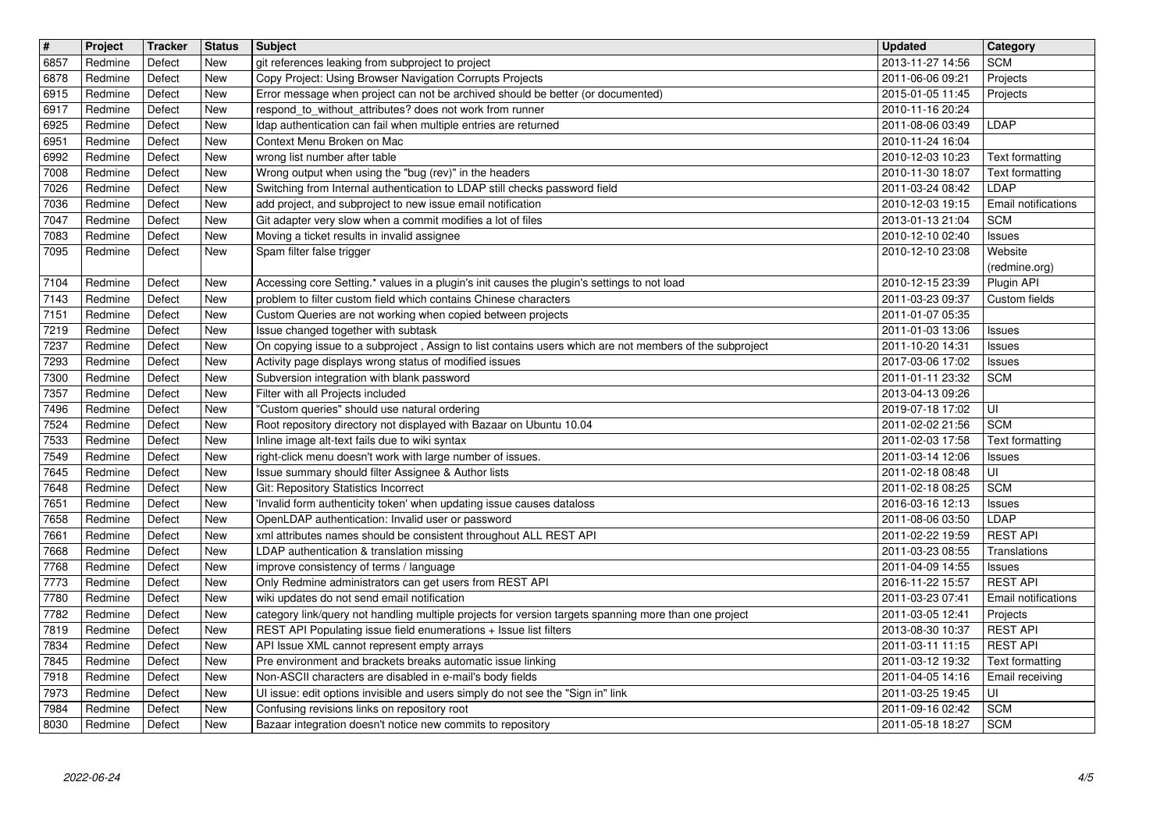| 6857<br>6878<br>6915<br>6917 |                    | Tracker          | <b>Status</b>            | <b>Subject</b>                                                                                                                                                             | <b>Updated</b>                       | <b>Category</b>                    |
|------------------------------|--------------------|------------------|--------------------------|----------------------------------------------------------------------------------------------------------------------------------------------------------------------------|--------------------------------------|------------------------------------|
|                              | Redmine<br>Redmine | Defect<br>Defect | New<br><b>New</b>        | git references leaking from subproject to project<br>Copy Project: Using Browser Navigation Corrupts Projects                                                              | 2013-11-27 14:56<br>2011-06-06 09:21 | <b>SCM</b><br>Projects             |
|                              | Redmine<br>Redmine | Defect<br>Defect | New<br>New               | Error message when project can not be archived should be better (or documented)<br>respond_to_without_attributes? does not work from runner                                | 2015-01-05 11:45<br>2010-11-16 20:24 | Projects                           |
| 6925                         | Redmine            | Defect           | New                      | Idap authentication can fail when multiple entries are returned                                                                                                            | 2011-08-06 03:49                     | <b>LDAP</b>                        |
| 6951<br>6992                 | Redmine<br>Redmine | Defect<br>Defect | <b>New</b><br><b>New</b> | Context Menu Broken on Mac<br>wrong list number after table                                                                                                                | 2010-11-24 16:04<br>2010-12-03 10:23 | Text formatting                    |
| 7008                         | Redmine            | Defect           | New                      | Wrong output when using the "bug (rev)" in the headers                                                                                                                     | 2010-11-30 18:07                     | Text formatting                    |
| 7026<br>7036                 | Redmine<br>Redmine | Defect<br>Defect | New<br>New               | Switching from Internal authentication to LDAP still checks password field<br>add project, and subproject to new issue email notification                                  | 2011-03-24 08:42<br>2010-12-03 19:15 | LDAP<br>Email notifications        |
| 7047                         | Redmine            | Defect           | <b>New</b>               | Git adapter very slow when a commit modifies a lot of files                                                                                                                | 2013-01-13 21:04                     | <b>SCM</b>                         |
| 7083<br>7095                 | Redmine<br>Redmine | Defect<br>Defect | New<br>New               | Moving a ticket results in invalid assignee<br>Spam filter false trigger                                                                                                   | 2010-12-10 02:40<br>2010-12-10 23:08 | Issues<br>Website                  |
|                              |                    |                  |                          |                                                                                                                                                                            |                                      | (redmine.org)                      |
| 7104<br>7143                 | Redmine<br>Redmine | Defect<br>Defect | New<br><b>New</b>        | Accessing core Setting.* values in a plugin's init causes the plugin's settings to not load<br>problem to filter custom field which contains Chinese characters            | 2010-12-15 23:39<br>2011-03-23 09:37 | Plugin API<br>Custom fields        |
| 7151                         | Redmine            | Defect           | New                      | Custom Queries are not working when copied between projects                                                                                                                | 2011-01-07 05:35                     |                                    |
| 7219<br>7237                 | Redmine<br>Redmine | Defect<br>Defect | New<br>New               | Issue changed together with subtask<br>On copying issue to a subproject, Assign to list contains users which are not members of the subproject                             | 2011-01-03 13:06<br>2011-10-20 14:31 | Issues<br><b>Issues</b>            |
| 7293                         | Redmine            | Defect           | <b>New</b>               | Activity page displays wrong status of modified issues                                                                                                                     | 2017-03-06 17:02                     | <b>Issues</b>                      |
| 7300<br>7357                 | Redmine<br>Redmine | Defect<br>Defect | <b>New</b><br><b>New</b> | Subversion integration with blank password<br>Filter with all Projects included                                                                                            | 2011-01-11 23:32<br>2013-04-13 09:26 | <b>SCM</b>                         |
| 7496                         | Redmine            | Defect           | New                      | "Custom queries" should use natural ordering                                                                                                                               | 2019-07-18 17:02                     | ΙUΙ                                |
| 7524<br>7533                 | Redmine<br>Redmine | Defect<br>Defect | New<br><b>New</b>        | Root repository directory not displayed with Bazaar on Ubuntu 10.04<br>Inline image alt-text fails due to wiki syntax                                                      | 2011-02-02 21:56<br>2011-02-03 17:58 | <b>SCM</b><br>Text formatting      |
| 7549                         | Redmine            | Defect           | New                      | right-click menu doesn't work with large number of issues.                                                                                                                 | 2011-03-14 12:06                     | <b>Issues</b>                      |
| 7645<br>7648                 | Redmine<br>Redmine | Defect<br>Defect | New<br>New               | Issue summary should filter Assignee & Author lists<br>Git: Repository Statistics Incorrect                                                                                | 2011-02-18 08:48<br>2011-02-18 08:25 | UI<br><b>SCM</b>                   |
| 7651                         | Redmine            | Defect           | New                      | Invalid form authenticity token' when updating issue causes dataloss                                                                                                       | 2016-03-16 12:13                     | <b>Issues</b>                      |
| 7658<br>7661                 | Redmine<br>Redmine | Defect<br>Defect | <b>New</b><br>New        | OpenLDAP authentication: Invalid user or password<br>xml attributes names should be consistent throughout ALL REST API                                                     | 2011-08-06 03:50<br>2011-02-22 19:59 | LDAP<br><b>REST API</b>            |
| 7668                         | Redmine            | Defect           | New                      | LDAP authentication & translation missing                                                                                                                                  | 2011-03-23 08:55                     | Translations                       |
| 7768<br>7773                 | Redmine<br>Redmine | Defect<br>Defect | New<br>New               | improve consistency of terms / language<br>Only Redmine administrators can get users from REST API                                                                         | 2011-04-09 14:55<br>2016-11-22 15:57 | <b>Issues</b><br><b>REST API</b>   |
| 7780                         | Redmine            | Defect           | New                      | wiki updates do not send email notification                                                                                                                                | 2011-03-23 07:41                     | Email notifications                |
| 7782<br>7819                 | Redmine<br>Redmine | Defect<br>Defect | <b>New</b><br><b>New</b> | category link/query not handling multiple projects for version targets spanning more than one project<br>REST API Populating issue field enumerations + Issue list filters | 2011-03-05 12:41<br>2013-08-30 10:37 | Projects<br><b>REST API</b>        |
| 7834                         | Redmine            | Defect           | <b>New</b>               | API Issue XML cannot represent empty arrays                                                                                                                                | 2011-03-11 11:15                     | <b>REST API</b>                    |
| 7845<br>7918                 | Redmine<br>Redmine | Defect<br>Defect | New<br><b>New</b>        | Pre environment and brackets breaks automatic issue linking<br>Non-ASCII characters are disabled in e-mail's body fields                                                   | 2011-03-12 19:32<br>2011-04-05 14:16 | Text formatting<br>Email receiving |
| 7973                         | Redmine            | Defect           | New                      | UI issue: edit options invisible and users simply do not see the "Sign in" link                                                                                            | 2011-03-25 19:45                     | ΙUΙ                                |
| 7984<br>8030                 | Redmine<br>Redmine | Defect<br>Defect | New<br>New               | Confusing revisions links on repository root<br>Bazaar integration doesn't notice new commits to repository                                                                | 2011-09-16 02:42<br>2011-05-18 18:27 | <b>SCM</b><br><b>SCM</b>           |
|                              |                    |                  |                          |                                                                                                                                                                            |                                      |                                    |
|                              |                    |                  |                          |                                                                                                                                                                            |                                      |                                    |
|                              |                    |                  |                          |                                                                                                                                                                            |                                      |                                    |
|                              |                    |                  |                          |                                                                                                                                                                            |                                      |                                    |